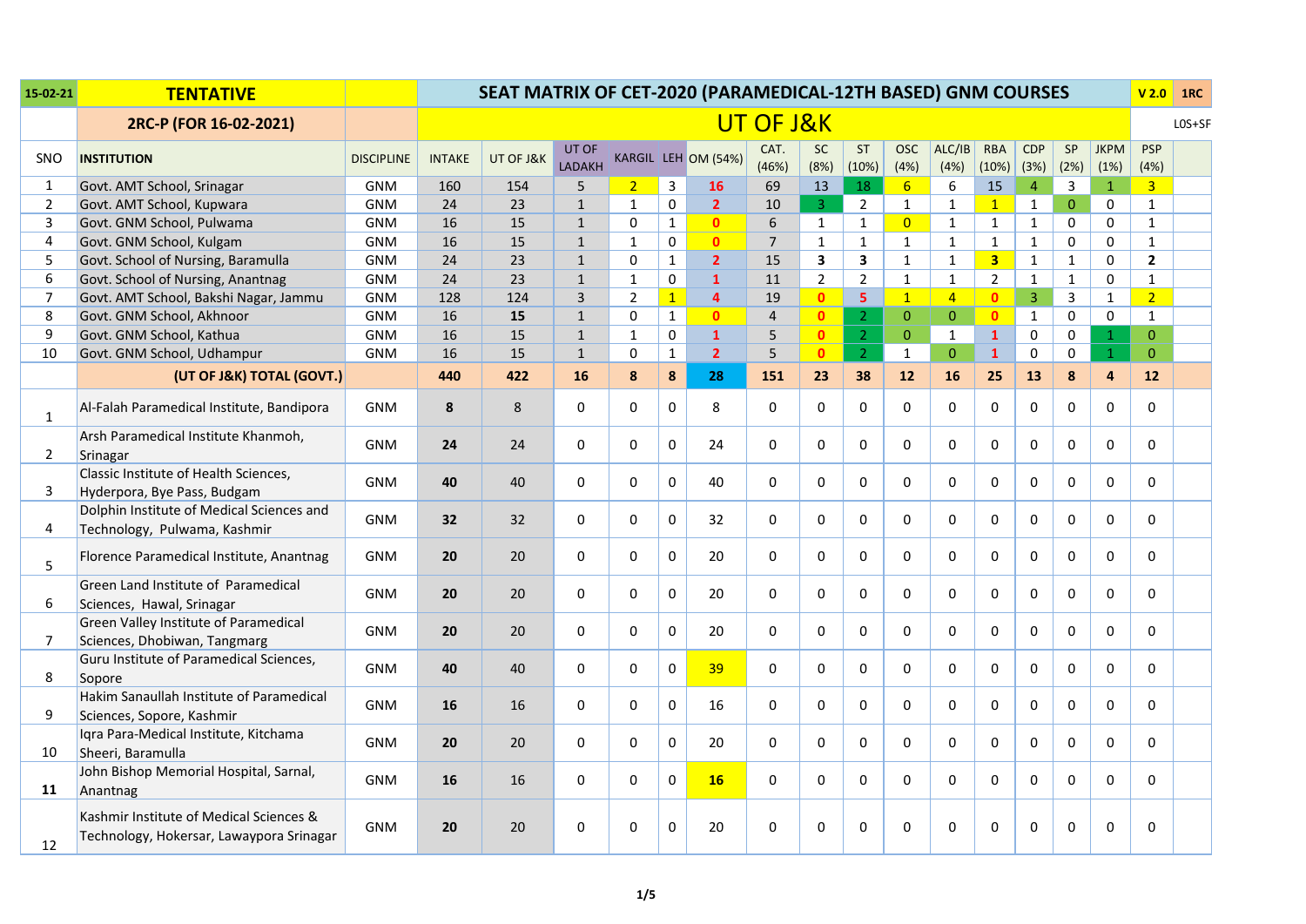| 15-02-21       | <b>TENTATIVE</b>                                                                    |                   |                 | SEAT MATRIX OF CET-2020 (PARAMEDICAL-12TH BASED) GNM COURSES |                 |                |                |                         |                |                   |                    |                    |                |                     |                    |                |                     | V <sub>2.0</sub>   | 1RC    |
|----------------|-------------------------------------------------------------------------------------|-------------------|-----------------|--------------------------------------------------------------|-----------------|----------------|----------------|-------------------------|----------------|-------------------|--------------------|--------------------|----------------|---------------------|--------------------|----------------|---------------------|--------------------|--------|
|                | 2RC-P (FOR 16-02-2021)                                                              |                   |                 |                                                              |                 |                |                |                         | UT OF J&K      |                   |                    |                    |                |                     |                    |                |                     |                    | LOS+SF |
| <b>SNO</b>     | <b>INSTITUTION</b>                                                                  | <b>DISCIPLINE</b> | <b>INTAKE</b>   | UT OF J&K                                                    | UT OF<br>LADAKH |                |                | KARGIL LEH OM (54%)     | CAT.<br>(46%)  | <b>SC</b><br>(8%) | <b>ST</b><br>(10%) | <b>OSC</b><br>(4%) | ALC/IB<br>(4%) | <b>RBA</b><br>(10%) | <b>CDP</b><br>(3%) | SP<br>(2%)     | <b>JKPM</b><br>(1%) | <b>PSP</b><br>(4%) |        |
| 1              | Govt. AMT School, Srinagar                                                          | <b>GNM</b>        | 160             | 154                                                          | 5               | $\overline{2}$ | 3              | 16                      | 69             | 13                | 18                 | 6                  | 6              | 15                  | $\overline{4}$     | $\mathbf{3}$   | $\mathbf{1}$        | 3 <sup>2</sup>     |        |
| $\overline{2}$ | Govt. AMT School, Kupwara                                                           | <b>GNM</b>        | 24              | 23                                                           | $\mathbf{1}$    | $\mathbf{1}$   | $\mathbf 0$    | 2 <sup>2</sup>          | 10             | $\overline{3}$    | $\overline{2}$     | $\mathbf{1}$       | $\mathbf{1}$   | $\mathbf{1}$        | $\mathbf{1}$       | $\overline{0}$ | 0                   | $\mathbf{1}$       |        |
| 3              | Govt. GNM School, Pulwama                                                           | <b>GNM</b>        | 16              | 15                                                           | $\mathbf{1}$    | 0              | $\mathbf{1}$   | $\mathbf{0}$            | 6              | $\mathbf{1}$      | $\mathbf{1}$       | $\overline{0}$     | $\mathbf{1}$   | $\mathbf{1}$        | $\mathbf{1}$       | $\mathbf 0$    | $\Omega$            | $\mathbf{1}$       |        |
| $\overline{4}$ | Govt. GNM School, Kulgam                                                            | <b>GNM</b>        | 16              | 15                                                           | $\mathbf{1}$    | $\mathbf{1}$   | 0              | $\mathbf{0}$            | $\overline{7}$ | $\mathbf{1}$      | $\mathbf{1}$       | 1                  | $\mathbf{1}$   | $\mathbf{1}$        | $\mathbf{1}$       | 0              | 0                   | $\mathbf{1}$       |        |
| 5              | Govt. School of Nursing, Baramulla                                                  | <b>GNM</b>        | 24              | 23                                                           | $\mathbf{1}$    | 0              | $\mathbf{1}$   | 2 <sup>1</sup>          | 15             | 3                 | 3                  | $\mathbf{1}$       | $\mathbf{1}$   | 3 <sup>1</sup>      | $\mathbf{1}$       | $\mathbf 1$    | 0                   | $\overline{2}$     |        |
| 6              | Govt. School of Nursing, Anantnag                                                   | <b>GNM</b>        | 24              | 23                                                           | $\mathbf{1}$    | $\mathbf{1}$   | 0              | $\mathbf{1}$            | 11             | $\overline{2}$    | $\overline{2}$     | $\mathbf{1}$       | $\mathbf{1}$   | $\overline{2}$      | $\mathbf{1}$       | $\mathbf{1}$   | 0                   | $\mathbf{1}$       |        |
| $\overline{7}$ | Govt. AMT School, Bakshi Nagar, Jammu                                               | <b>GNM</b>        | 128             | 124                                                          | $\overline{3}$  | $\overline{2}$ | $\overline{1}$ | $\overline{\mathbf{4}}$ | 19             | $\mathbf{0}$      | 5 <sup>1</sup>     | 1                  | $\overline{4}$ | $\mathbf{0}$        | $\overline{3}$     | 3              | $\mathbf{1}$        | $\overline{2}$     |        |
| 8              | Govt. GNM School, Akhnoor                                                           | <b>GNM</b>        | 16              | 15                                                           | $\mathbf{1}$    | $\Omega$       | $\mathbf{1}$   | $\mathbf{0}$            | $\overline{4}$ | $\mathbf{0}$      | $\overline{2}$     | $\mathbf{0}$       | $\overline{0}$ | $\mathbf{0}$        | $\mathbf{1}$       | $\Omega$       | $\mathbf 0$         | $\mathbf{1}$       |        |
| 9              | Govt. GNM School, Kathua                                                            | <b>GNM</b>        | 16              | 15                                                           | $\mathbf{1}$    | $\mathbf{1}$   | 0              | $\mathbf{1}$            | 5              | $\mathbf{0}$      | $\overline{2}$     | $\mathbf{0}$       | $\mathbf{1}$   | $\mathbf{1}$        | $\Omega$           | 0              | $\mathbf{1}$        | $\mathbf{0}$       |        |
| 10             | Govt. GNM School, Udhampur                                                          | <b>GNM</b>        | 16              | 15                                                           | $\mathbf{1}$    | 0              | $\mathbf{1}$   | 2 <sup>1</sup>          | 5              | $\mathbf{0}$      | 2 <sup>1</sup>     | $\mathbf{1}$       | $\overline{0}$ | $\mathbf{1}$        | $\mathbf 0$        | $\Omega$       | $\mathbf{1}$        | $\mathbf{0}$       |        |
|                | (UT OF J&K) TOTAL (GOVT.)                                                           |                   | 440             | 422                                                          | 16              | 8              | 8              | 28                      | 151            | 23                | 38                 | 12                 | 16             | 25                  | 13                 | 8              | 4                   | 12                 |        |
| $\mathbf{1}$   | Al-Falah Paramedical Institute, Bandipora                                           | <b>GNM</b>        | 8               | 8                                                            | $\mathbf 0$     | $\mathbf 0$    | 0              | 8                       | $\mathbf 0$    | 0                 | $\Omega$           | 0                  | $\mathbf 0$    | $\Omega$            | $\mathbf 0$        | 0              | 0                   | 0                  |        |
| $\overline{2}$ | Arsh Paramedical Institute Khanmoh,<br>Srinagar                                     | <b>GNM</b>        | 24              | 24                                                           | $\Omega$        | $\Omega$       | $\Omega$       | 24                      | $\Omega$       | $\Omega$          | $\Omega$           | $\Omega$           | $\Omega$       | $\Omega$            | $\Omega$           | $\Omega$       | 0                   | $\Omega$           |        |
| 3              | Classic Institute of Health Sciences.<br>Hyderpora, Bye Pass, Budgam                | <b>GNM</b>        | 40              | 40                                                           | $\mathbf 0$     | $\mathbf 0$    | 0              | 40                      | 0              | $\Omega$          | $\Omega$           | $\Omega$           | $\mathbf 0$    | $\Omega$            | $\Omega$           | $\Omega$       | 0                   | $\Omega$           |        |
| 4              | Dolphin Institute of Medical Sciences and<br>Technology, Pulwama, Kashmir           | <b>GNM</b>        | 32 <sub>2</sub> | 32                                                           | 0               | $\mathbf 0$    | $\mathbf 0$    | 32                      | $\Omega$       | $\Omega$          | $\Omega$           | $\Omega$           | $\mathbf 0$    | $\Omega$            | $\Omega$           | 0              | 0                   | 0                  |        |
| 5              | Florence Paramedical Institute, Anantnag                                            | <b>GNM</b>        | 20              | 20                                                           | $\Omega$        | $\Omega$       | $\Omega$       | 20                      | $\Omega$       | $\Omega$          | $\Omega$           | $\Omega$           | $\Omega$       | $\Omega$            | $\Omega$           | $\Omega$       | $\Omega$            | $\Omega$           |        |
| 6              | Green Land Institute of Paramedical<br>Sciences, Hawal, Srinagar                    | <b>GNM</b>        | 20              | 20                                                           | 0               | 0              | 0              | 20                      | 0              | 0                 | 0                  | 0                  | $\mathbf 0$    | 0                   | $\mathbf 0$        | 0              | 0                   | $\Omega$           |        |
| $\overline{7}$ | Green Valley Institute of Paramedical<br>Sciences, Dhobiwan, Tangmarg               | <b>GNM</b>        | 20              | 20                                                           | $\Omega$        | $\mathbf 0$    | $\Omega$       | 20                      | $\Omega$       | $\Omega$          | $\Omega$           | $\Omega$           | $\mathbf 0$    | $\Omega$            | $\Omega$           | 0              | 0                   | $\Omega$           |        |
| 8              | Guru Institute of Paramedical Sciences,<br>Sopore                                   | <b>GNM</b>        | 40              | 40                                                           | $\mathbf 0$     | 0              | 0              | 39                      | 0              | 0                 | 0                  | $\Omega$           | $\mathbf 0$    | $\Omega$            | $\Omega$           | 0              | 0                   | 0                  |        |
| 9              | Hakim Sanaullah Institute of Paramedical<br>Sciences, Sopore, Kashmir               | <b>GNM</b>        | 16              | 16                                                           | $\Omega$        | 0              | $\Omega$       | 16                      | $\Omega$       | $\Omega$          | $\Omega$           | $\Omega$           | $\mathbf 0$    | $\Omega$            | $\Omega$           | $\Omega$       | $\Omega$            | $\Omega$           |        |
| 10             | Iqra Para-Medical Institute, Kitchama<br>Sheeri, Baramulla                          | <b>GNM</b>        | 20              | 20                                                           | 0               | 0              | 0              | 20                      | $\Omega$       | $\Omega$          | $\Omega$           | $\Omega$           | $\Omega$       | $\Omega$            | $\Omega$           | $\Omega$       | $\Omega$            | $\Omega$           |        |
| 11             | John Bishop Memorial Hospital, Sarnal,<br>Anantnag                                  | <b>GNM</b>        | 16              | 16                                                           | 0               | 0              | 0              | 16                      | 0              | 0                 | 0                  | 0                  | $\mathbf 0$    | 0                   | $\mathbf 0$        | $\Omega$       | 0                   | 0                  |        |
| 12             | Kashmir Institute of Medical Sciences &<br>Technology, Hokersar, Lawaypora Srinagar | <b>GNM</b>        | 20              | 20                                                           | 0               | $\mathbf 0$    | $\Omega$       | 20                      | 0              | 0                 | $\Omega$           | $\Omega$           | $\Omega$       | 0                   | $\Omega$           | $\Omega$       | 0                   | 0                  |        |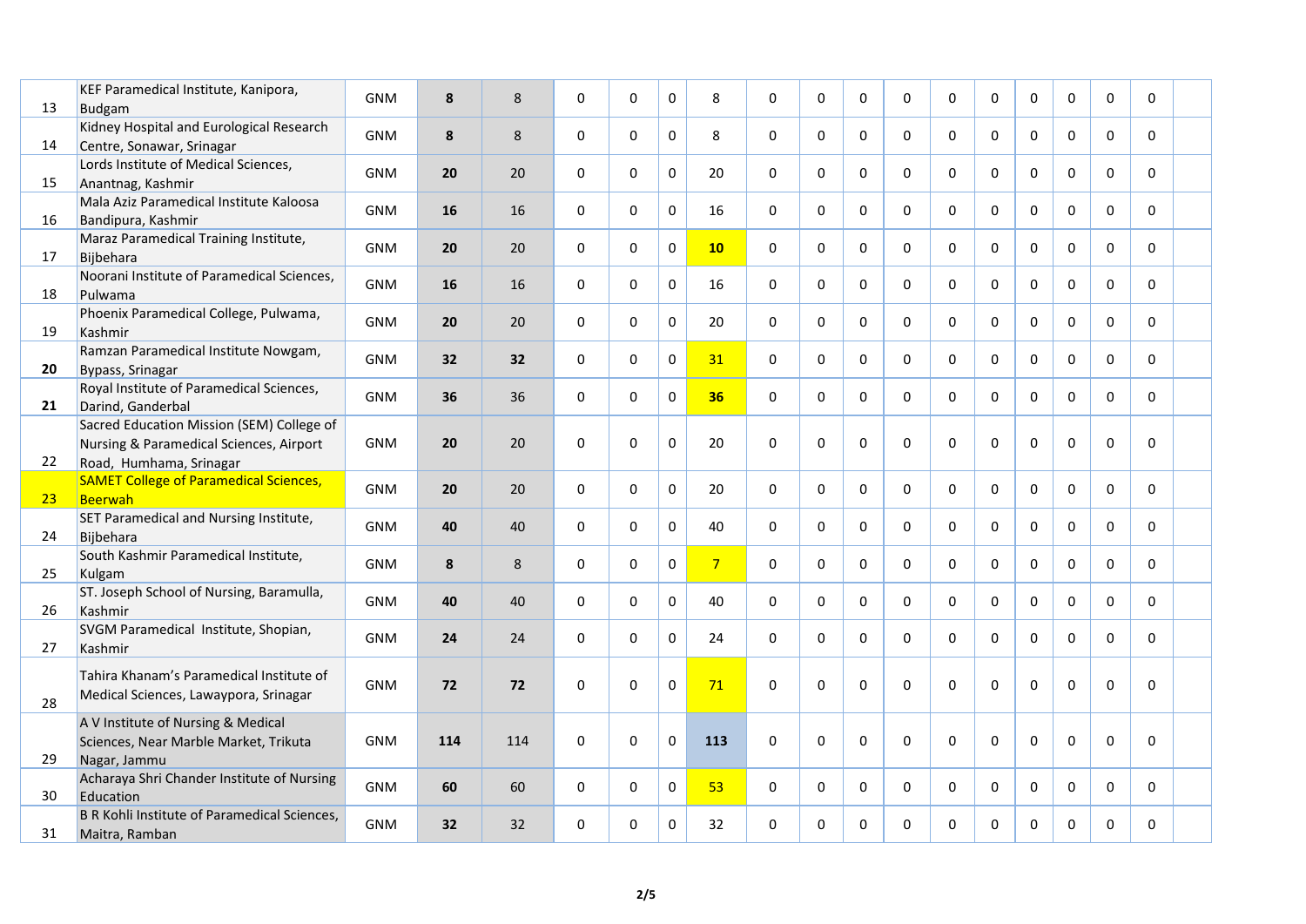| 13 | KEF Paramedical Institute, Kanipora,<br><b>Budgam</b>                                                           | <b>GNM</b> | 8   | 8   | 0           | $\mathbf 0$ | $\mathbf 0$ | 8              | 0           | 0        | $\Omega$    | 0           | 0        | 0           | 0           | $\Omega$ | $\mathbf 0$  | $\Omega$ |  |
|----|-----------------------------------------------------------------------------------------------------------------|------------|-----|-----|-------------|-------------|-------------|----------------|-------------|----------|-------------|-------------|----------|-------------|-------------|----------|--------------|----------|--|
| 14 | Kidney Hospital and Eurological Research<br>Centre, Sonawar, Srinagar                                           | <b>GNM</b> | 8   | 8   | $\mathbf 0$ | $\mathbf 0$ | $\mathbf 0$ | 8              | 0           | 0        | $\Omega$    | $\mathbf 0$ | 0        | $\mathbf 0$ | $\mathbf 0$ | 0        | $\mathbf 0$  | $\Omega$ |  |
| 15 | Lords Institute of Medical Sciences,<br>Anantnag, Kashmir                                                       | <b>GNM</b> | 20  | 20  | $\mathbf 0$ | $\mathbf 0$ | $\mathbf 0$ | 20             | 0           | 0        | $\Omega$    | 0           | 0        | 0           | $\mathbf 0$ | $\Omega$ | $\mathbf 0$  | $\Omega$ |  |
| 16 | Mala Aziz Paramedical Institute Kaloosa<br>Bandipura, Kashmir                                                   | <b>GNM</b> | 16  | 16  | $\mathbf 0$ | $\mathbf 0$ | $\mathbf 0$ | 16             | 0           | 0        | $\Omega$    | 0           | 0        | $\mathbf 0$ | $\mathbf 0$ | 0        | $\mathbf 0$  | 0        |  |
| 17 | Maraz Paramedical Training Institute,<br>Bijbehara                                                              | <b>GNM</b> | 20  | 20  | $\Omega$    | $\mathbf 0$ | $\Omega$    | 10             | 0           | $\Omega$ | $\Omega$    | $\Omega$    | 0        | $\Omega$    | $\Omega$    | $\Omega$ | $\Omega$     | $\Omega$ |  |
| 18 | Noorani Institute of Paramedical Sciences,<br>Pulwama                                                           | <b>GNM</b> | 16  | 16  | 0           | 0           | $\Omega$    | 16             | 0           | 0        | $\Omega$    | $\Omega$    | 0        | $\Omega$    | $\Omega$    | $\Omega$ | $\Omega$     | $\Omega$ |  |
| 19 | Phoenix Paramedical College, Pulwama,<br>Kashmir                                                                | <b>GNM</b> | 20  | 20  | $\mathbf 0$ | $\mathbf 0$ | 0           | 20             | 0           | $\Omega$ | $\Omega$    | $\Omega$    | $\Omega$ | $\Omega$    | $\Omega$    | $\Omega$ | $\Omega$     | $\Omega$ |  |
| 20 | Ramzan Paramedical Institute Nowgam,<br>Bypass, Srinagar                                                        | <b>GNM</b> | 32  | 32  | $\Omega$    | $\mathbf 0$ | $\mathbf 0$ | 31             | 0           | 0        | $\Omega$    | $\Omega$    | 0        | $\Omega$    | $\Omega$    | $\Omega$ | $\Omega$     | $\Omega$ |  |
| 21 | Royal Institute of Paramedical Sciences,<br>Darind, Ganderbal                                                   | <b>GNM</b> | 36  | 36  | $\mathbf 0$ | $\Omega$    | $\Omega$    | 36             | 0           | $\Omega$ | $\Omega$    | $\Omega$    | 0        | $\Omega$    | $\Omega$    | $\Omega$ | $\mathbf{0}$ | $\Omega$ |  |
| 22 | Sacred Education Mission (SEM) College of<br>Nursing & Paramedical Sciences, Airport<br>Road, Humhama, Srinagar | <b>GNM</b> | 20  | 20  | $\mathbf 0$ | $\pmb{0}$   | $\mathbf 0$ | 20             | 0           | 0        | $\mathbf 0$ | $\mathbf 0$ | 0        | 0           | $\mathbf 0$ | 0        | $\mathbf 0$  | 0        |  |
| 23 | <b>SAMET College of Paramedical Sciences,</b><br>Beerwah                                                        | <b>GNM</b> | 20  | 20  | $\mathbf 0$ | $\mathbf 0$ | $\mathbf 0$ | 20             | 0           | 0        | $\Omega$    | 0           | 0        | $\mathbf 0$ | $\mathbf 0$ | 0        | $\mathbf 0$  | 0        |  |
| 24 | SET Paramedical and Nursing Institute,<br>Bijbehara                                                             | <b>GNM</b> | 40  | 40  | $\mathbf 0$ | $\mathbf 0$ | $\mathbf 0$ | 40             | $\mathbf 0$ | 0        | $\Omega$    | $\Omega$    | 0        | $\mathbf 0$ | $\Omega$    | $\Omega$ | $\Omega$     | $\Omega$ |  |
| 25 | South Kashmir Paramedical Institute,<br>Kulgam                                                                  | <b>GNM</b> | 8   | 8   | $\mathbf 0$ | $\mathbf 0$ | $\mathbf 0$ | $\overline{7}$ | 0           | 0        | $\mathbf 0$ | $\mathbf 0$ | 0        | $\mathbf 0$ | $\mathbf 0$ | 0        | $\mathbf 0$  | $\Omega$ |  |
| 26 | ST. Joseph School of Nursing, Baramulla,<br>Kashmir                                                             | <b>GNM</b> | 40  | 40  | $\mathbf 0$ | $\mathbf 0$ | 0           | 40             | 0           | 0        | $\Omega$    | 0           | 0        | $\mathbf 0$ | $\mathbf 0$ | $\Omega$ | $\mathbf 0$  | $\Omega$ |  |
| 27 | SVGM Paramedical Institute, Shopian,<br>Kashmir                                                                 | <b>GNM</b> | 24  | 24  | $\Omega$    | $\Omega$    | $\Omega$    | 24             | 0           | $\Omega$ | $\Omega$    | $\Omega$    | 0        | $\Omega$    | $\Omega$    | $\Omega$ | $\Omega$     | $\Omega$ |  |
| 28 | Tahira Khanam's Paramedical Institute of<br>Medical Sciences, Lawaypora, Srinagar                               | <b>GNM</b> | 72  | 72  | $\Omega$    | $\mathbf 0$ | $\Omega$    | 71             | 0           | 0        | $\Omega$    | $\Omega$    | 0        | $\Omega$    | $\Omega$    | $\Omega$ | $\Omega$     | $\Omega$ |  |
| 29 | A V Institute of Nursing & Medical<br>Sciences, Near Marble Market, Trikuta<br>Nagar, Jammu                     | <b>GNM</b> | 114 | 114 | $\mathbf 0$ | $\mathbf 0$ | $\mathbf 0$ | 113            | $\mathbf 0$ | 0        | $\Omega$    | $\mathbf 0$ | 0        | 0           | $\mathbf 0$ | $\Omega$ | $\mathbf 0$  | $\Omega$ |  |
| 30 | Acharaya Shri Chander Institute of Nursing<br>Education                                                         | <b>GNM</b> | 60  | 60  | $\mathbf 0$ | $\mathbf 0$ | $\Omega$    | 53             | 0           | 0        | $\Omega$    | 0           | 0        | $\mathbf 0$ | $\mathbf 0$ | $\Omega$ | $\Omega$     | $\Omega$ |  |
| 31 | B R Kohli Institute of Paramedical Sciences,<br>Maitra, Ramban                                                  | <b>GNM</b> | 32  | 32  | $\Omega$    | $\Omega$    | $\Omega$    | 32             | 0           | $\Omega$ | $\Omega$    | $\Omega$    | $\Omega$ | 0           | $\Omega$    | $\Omega$ | $\Omega$     | $\Omega$ |  |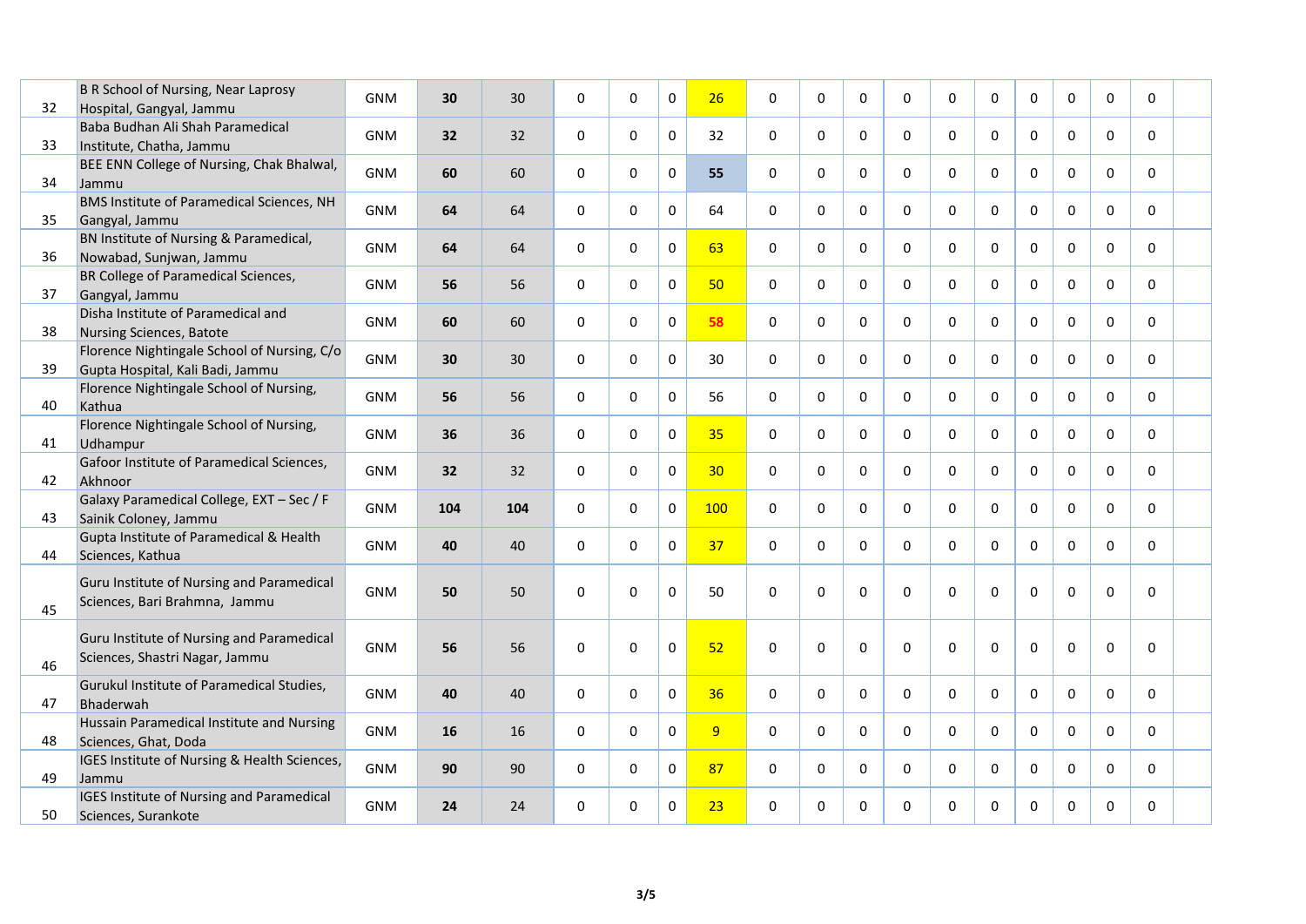| 32 | <b>B R School of Nursing, Near Laprosy</b><br>Hospital, Gangyal, Jammu          | <b>GNM</b> | 30  | 30  | 0        | 0           | 0        | 26             | 0           | 0 | 0           | 0           | $\mathbf 0$ | $\mathbf 0$  | 0           | $\Omega$ | $\mathbf 0$  | 0        |
|----|---------------------------------------------------------------------------------|------------|-----|-----|----------|-------------|----------|----------------|-------------|---|-------------|-------------|-------------|--------------|-------------|----------|--------------|----------|
| 33 | Baba Budhan Ali Shah Paramedical<br>Institute, Chatha, Jammu                    | <b>GNM</b> | 32  | 32  | $\Omega$ | 0           | 0        | 32             | 0           | 0 | $\Omega$    | $\Omega$    | 0           | $\Omega$     | $\Omega$    | 0        | $\Omega$     | $\Omega$ |
| 34 | BEE ENN College of Nursing, Chak Bhalwal,<br>Jammu                              | <b>GNM</b> | 60  | 60  | $\Omega$ | 0           | $\Omega$ | 55             | $\Omega$    | 0 | $\Omega$    | $\Omega$    | 0           | $\mathbf{0}$ | $\Omega$    | 0        | $\mathbf{0}$ | $\Omega$ |
| 35 | <b>BMS Institute of Paramedical Sciences, NH</b><br>Gangyal, Jammu              | <b>GNM</b> | 64  | 64  | 0        | 0           | 0        | 64             | $\mathbf 0$ | 0 | 0           | 0           | 0           | 0            | $\mathbf 0$ | 0        | $\mathbf 0$  | $\Omega$ |
| 36 | BN Institute of Nursing & Paramedical,<br>Nowabad, Sunjwan, Jammu               | <b>GNM</b> | 64  | 64  | 0        | 0           | 0        | 63             | 0           | 0 | $\Omega$    | $\Omega$    | 0           | $\mathbf{0}$ | $\Omega$    | 0        | $\mathbf{0}$ | $\Omega$ |
| 37 | BR College of Paramedical Sciences,<br>Gangyal, Jammu                           | <b>GNM</b> | 56  | 56  | $\Omega$ | 0           | $\Omega$ | 50             | 0           | 0 | $\Omega$    | $\Omega$    | $\Omega$    | $\Omega$     | $\mathbf 0$ | 0        | $\mathbf{0}$ | $\Omega$ |
| 38 | Disha Institute of Paramedical and<br><b>Nursing Sciences, Batote</b>           | <b>GNM</b> | 60  | 60  | 0        | $\pmb{0}$   | 0        | 58             | 0           | 0 | 0           | 0           | 0           | 0            | 0           | 0        | $\mathbf 0$  | $\Omega$ |
| 39 | Florence Nightingale School of Nursing, C/o<br>Gupta Hospital, Kali Badi, Jammu | <b>GNM</b> | 30  | 30  | 0        | 0           | $\Omega$ | 30             | 0           | 0 | 0           | 0           | 0           | 0            | 0           | 0        | $\mathbf 0$  | $\Omega$ |
| 40 | Florence Nightingale School of Nursing,<br>Kathua                               | <b>GNM</b> | 56  | 56  | $\Omega$ | 0           | 0        | 56             | $\mathbf 0$ | 0 | $\Omega$    | $\mathbf 0$ | $\Omega$    | $\mathbf{0}$ | $\Omega$    | 0        | $\mathbf{0}$ | $\Omega$ |
| 41 | Florence Nightingale School of Nursing,<br>Udhampur                             | <b>GNM</b> | 36  | 36  | 0        | $\pmb{0}$   | 0        | 35             | 0           | 0 | $\mathbf 0$ | 0           | $\mathbf 0$ | $\mathbf 0$  | 0           | 0        | $\mathbf 0$  | $\Omega$ |
| 42 | Gafoor Institute of Paramedical Sciences,<br>Akhnoor                            | <b>GNM</b> | 32  | 32  | $\Omega$ | $\mathbf 0$ | 0        | 30             | 0           | 0 | 0           | $\mathbf 0$ | $\mathbf 0$ | $\Omega$     | $\mathbf 0$ | 0        | $\mathbf{0}$ | $\Omega$ |
| 43 | Galaxy Paramedical College, EXT - Sec / F<br>Sainik Coloney, Jammu              | <b>GNM</b> | 104 | 104 | $\Omega$ | $\Omega$    | $\Omega$ | 100            | $\Omega$    | 0 | $\Omega$    | $\mathbf 0$ | $\Omega$    | $\mathbf{0}$ | $\Omega$    | $\Omega$ | $\mathbf{0}$ | $\Omega$ |
| 44 | Gupta Institute of Paramedical & Health<br>Sciences, Kathua                     | <b>GNM</b> | 40  | 40  | 0        | $\mathbf 0$ | 0        | 37             | $\mathbf 0$ | 0 | $\Omega$    | $\mathbf 0$ | $\mathbf 0$ | $\mathbf{0}$ | $\Omega$    | 0        | $\mathbf{0}$ | $\Omega$ |
| 45 | Guru Institute of Nursing and Paramedical<br>Sciences, Bari Brahmna, Jammu      | <b>GNM</b> | 50  | 50  | $\Omega$ | 0           | $\Omega$ | 50             | 0           | 0 | 0           | 0           | 0           | $\Omega$     | $\Omega$    | 0        | $\mathbf 0$  | $\Omega$ |
| 46 | Guru Institute of Nursing and Paramedical<br>Sciences, Shastri Nagar, Jammu     | <b>GNM</b> | 56  | 56  | $\Omega$ | $\Omega$    | $\Omega$ | 52             | $\Omega$    | 0 | $\Omega$    | $\Omega$    | $\Omega$    | $\Omega$     | $\Omega$    | $\Omega$ | $\mathbf{0}$ | $\Omega$ |
| 47 | Gurukul Institute of Paramedical Studies,<br><b>Bhaderwah</b>                   | <b>GNM</b> | 40  | 40  | 0        | $\mathbf 0$ | 0        | 36             | 0           | 0 | 0           | $\mathbf 0$ | 0           | 0            | $\mathbf 0$ | 0        | $\mathbf 0$  | $\Omega$ |
| 48 | Hussain Paramedical Institute and Nursing<br>Sciences, Ghat, Doda               | <b>GNM</b> | 16  | 16  | $\Omega$ | $\mathbf 0$ | $\Omega$ | $\overline{9}$ | 0           | 0 | 0           | $\mathbf 0$ | $\mathbf 0$ | $\Omega$     | $\Omega$    | 0        | $\mathbf{0}$ | $\Omega$ |
| 49 | IGES Institute of Nursing & Health Sciences,<br>Jammu                           | <b>GNM</b> | 90  | 90  | $\Omega$ | $\Omega$    | $\Omega$ | 87             | $\Omega$    | 0 | $\Omega$    | $\Omega$    | $\Omega$    | $\mathbf{0}$ | $\Omega$    | $\Omega$ | $\Omega$     | $\Omega$ |
| 50 | IGES Institute of Nursing and Paramedical<br>Sciences, Surankote                | <b>GNM</b> | 24  | 24  | $\Omega$ | $\mathbf 0$ | $\Omega$ | 23             | 0           | 0 | $\Omega$    | $\mathbf 0$ | 0           | $\Omega$     | $\mathbf 0$ | 0        | $\Omega$     | $\Omega$ |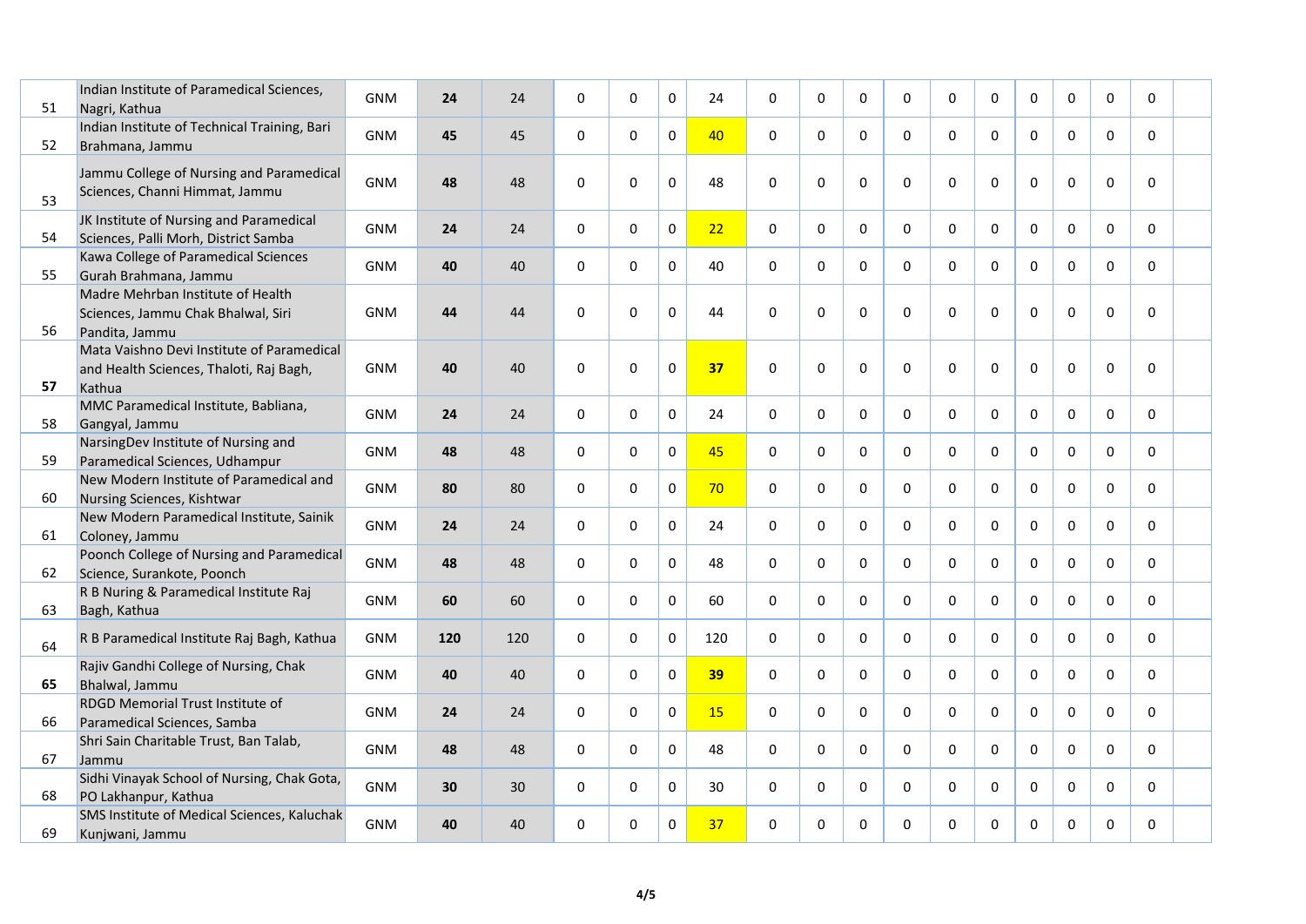| 51 | Indian Institute of Paramedical Sciences,<br>Nagri, Kathua                                      | <b>GNM</b> | 24  | 24  | 0        | $\mathbf 0$  | 0        | 24  | 0 | 0        | $\mathbf 0$  | 0            | 0           | $\Omega$     | 0           | 0        | 0            | $\Omega$ |
|----|-------------------------------------------------------------------------------------------------|------------|-----|-----|----------|--------------|----------|-----|---|----------|--------------|--------------|-------------|--------------|-------------|----------|--------------|----------|
| 52 | Indian Institute of Technical Training, Bari<br>Brahmana, Jammu                                 | <b>GNM</b> | 45  | 45  | 0        | $\mathbf 0$  | 0        | 40  | 0 | 0        | $\mathbf 0$  | 0            | $\mathbf 0$ | $\mathbf 0$  | $\mathbf 0$ | 0        | $\mathbf 0$  | $\Omega$ |
| 53 | Jammu College of Nursing and Paramedical<br>Sciences, Channi Himmat, Jammu                      | <b>GNM</b> | 48  | 48  | 0        | $\mathbf 0$  | 0        | 48  | 0 | 0        | $\mathbf 0$  | 0            | 0           | $\mathbf 0$  | $\mathbf 0$ | 0        | $\mathbf 0$  | 0        |
| 54 | JK Institute of Nursing and Paramedical<br>Sciences, Palli Morh, District Samba                 | <b>GNM</b> | 24  | 24  | 0        | $\mathbf 0$  | 0        | 22  | 0 | 0        | $\mathbf{0}$ | 0            | 0           | $\Omega$     | 0           | 0        | $\Omega$     | $\Omega$ |
| 55 | Kawa College of Paramedical Sciences<br>Gurah Brahmana, Jammu                                   | <b>GNM</b> | 40  | 40  | 0        | $\mathbf 0$  | $\Omega$ | 40  | 0 | 0        | $\Omega$     | 0            | 0           | $\Omega$     | $\mathbf 0$ | 0        | $\mathbf 0$  | $\Omega$ |
| 56 | Madre Mehrban Institute of Health<br>Sciences, Jammu Chak Bhalwal, Siri<br>Pandita, Jammu       | <b>GNM</b> | 44  | 44  | $\Omega$ | $\mathbf{0}$ | $\Omega$ | 44  | 0 | 0        | $\Omega$     | $\Omega$     | $\Omega$    | $\Omega$     | $\Omega$    | $\Omega$ | $\mathbf{0}$ | $\Omega$ |
| 57 | Mata Vaishno Devi Institute of Paramedical<br>and Health Sciences, Thaloti, Raj Bagh,<br>Kathua | <b>GNM</b> | 40  | 40  | $\Omega$ | $\mathbf 0$  | $\Omega$ | 37  | 0 | 0        | $\Omega$     | 0            | 0           | $\Omega$     | $\Omega$    | 0        | $\mathbf 0$  | 0        |
| 58 | MMC Paramedical Institute, Babliana,<br>Gangyal, Jammu                                          | <b>GNM</b> | 24  | 24  | $\Omega$ | $\mathbf{0}$ | $\Omega$ | 24  | 0 | $\Omega$ | $\mathbf{0}$ | $\Omega$     | $\Omega$    | $\Omega$     | $\Omega$    | 0        | $\mathbf{0}$ | $\Omega$ |
| 59 | NarsingDev Institute of Nursing and<br>Paramedical Sciences, Udhampur                           | <b>GNM</b> | 48  | 48  | $\Omega$ | $\mathbf 0$  | 0        | 45  | 0 | 0        | $\mathbf{0}$ | 0            | 0           | $\Omega$     | $\Omega$    | 0        | $\Omega$     | $\Omega$ |
| 60 | New Modern Institute of Paramedical and<br>Nursing Sciences, Kishtwar                           | <b>GNM</b> | 80  | 80  | 0        | $\mathsf 0$  | 0        | 70  | 0 | 0        | $\mathbf{0}$ | 0            | $\mathbf 0$ | $\Omega$     | $\Omega$    | $\Omega$ | $\mathbf 0$  | $\Omega$ |
| 61 | New Modern Paramedical Institute, Sainik<br>Coloney, Jammu                                      | <b>GNM</b> | 24  | 24  | 0        | $\mathbf 0$  | 0        | 24  | 0 | 0        | $\mathbf{0}$ | 0            | $\mathbf 0$ | $\mathbf{0}$ | $\mathbf 0$ | 0        | $\mathbf{0}$ | $\Omega$ |
| 62 | Poonch College of Nursing and Paramedical<br>Science, Surankote, Poonch                         | <b>GNM</b> | 48  | 48  | $\Omega$ | $\mathbf 0$  | 0        | 48  | 0 | 0        | $\mathbf{0}$ | 0            | 0           | $\mathbf{0}$ | $\Omega$    | 0        | $\mathbf{0}$ | $\Omega$ |
| 63 | R B Nuring & Paramedical Institute Raj<br>Bagh, Kathua                                          | <b>GNM</b> | 60  | 60  | 0        | $\mathbf 0$  | 0        | 60  | 0 | 0        | $\mathbf 0$  | 0            | 0           | $\mathbf{0}$ | 0           | 0        | $\mathbf{0}$ | $\Omega$ |
| 64 | R B Paramedical Institute Raj Bagh, Kathua                                                      | <b>GNM</b> | 120 | 120 | 0        | $\mathbf 0$  | 0        | 120 | 0 | 0        | $\mathbf 0$  | $\mathbf 0$  | $\mathbf 0$ | $\mathbf 0$  | $\mathbf 0$ | 0        | $\mathbf 0$  | $\Omega$ |
| 65 | Rajiv Gandhi College of Nursing, Chak<br>Bhalwal, Jammu                                         | <b>GNM</b> | 40  | 40  | $\Omega$ | 0            | $\Omega$ | 39  | 0 | 0        | $\Omega$     | $\Omega$     | 0           | $\Omega$     | $\Omega$    | 0        | $\mathbf{0}$ | $\Omega$ |
| 66 | RDGD Memorial Trust Institute of<br>Paramedical Sciences, Samba                                 | <b>GNM</b> | 24  | 24  | 0        | $\mathbf 0$  | 0        | 15  | 0 | 0        | $\mathbf{0}$ | $\mathbf 0$  | $\mathbf 0$ | $\mathbf{0}$ | $\Omega$    | 0        | $\mathbf{0}$ | $\Omega$ |
| 67 | Shri Sain Charitable Trust, Ban Talab,<br>Jammu                                                 | <b>GNM</b> | 48  | 48  | $\Omega$ | $\mathbf 0$  | $\Omega$ | 48  | 0 | 0        | $\mathbf 0$  | $\Omega$     | 0           | $\Omega$     | $\Omega$    | 0        | $\Omega$     | $\Omega$ |
| 68 | Sidhi Vinayak School of Nursing, Chak Gota,<br>PO Lakhanpur, Kathua                             | <b>GNM</b> | 30  | 30  | 0        | $\mathbf 0$  | $\Omega$ | 30  | 0 | 0        | $\mathbf{0}$ | 0            | 0           | $\mathbf{0}$ | $\mathbf 0$ | 0        | $\Omega$     | $\Omega$ |
| 69 | SMS Institute of Medical Sciences, Kaluchak<br>Kunjwani, Jammu                                  | <b>GNM</b> | 40  | 40  | $\Omega$ | $\mathbf 0$  | $\Omega$ | 37  | 0 | $\Omega$ | $\Omega$     | $\mathbf{0}$ | 0           | $\Omega$     | $\Omega$    | 0        | $\mathbf 0$  | $\Omega$ |